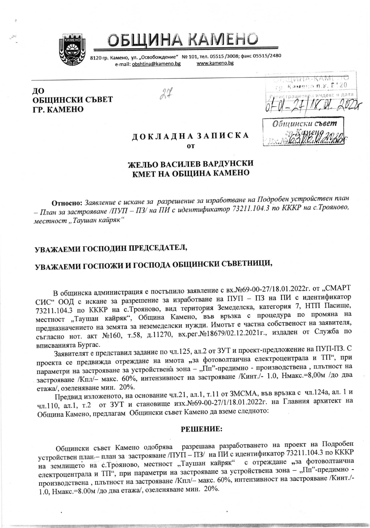

БЩИНА КАМЕНО

8120 гр. Камено, ул. "Освобождение" № 101, тел. 05515 /3008; факс 05515/2480 e-mail: obshtina@kameno.bg

www.kameno.bg

ДО ОБЩИНСКИ СЪВЕТ **TP. KAMEHO** 

 $24$ 

 $1V1H^2$  $\alpha$  . The currence

### ДОКЛАДНАЗАПИСКА **OT**

## ЖЕЛЬО ВАСИЛЕВ ВАРДУНСКИ КМЕТ НА ОБЩИНА КАМЕНО

Относно: Заявление с искане за разрешение за изработване на Подробен устройствен план – План за застрояване /ПУП – ПЗ/ на ПИ с идентификатор 73211.104.3 по КККР на с. Трояново, местност "Таушан кайряк"

## УВАЖАЕМИ ГОСПОДИН ПРЕДСЕДАТЕЛ,

# УВАЖАЕМИ ГОСПОЖИ И ГОСПОДА ОБЩИНСКИ СЪВЕТНИЦИ,

В общинска администрация е постъпило заявление с вх. №69-00-27/18.01.2022г. от "СМАРТ СИС" ООД с искане за разрешение за изработване на ПУП - ПЗ на ПИ с идентификатор 73211.104.3 по КККР на с. Трояново, вид територия Земеделска, категория 7, НТП Пасище, местност "Таушан кайряк", Община Камено, във връзка с процедура по промяна на предназначението на земята за неземеделски нужди. Имотът е частна собственост на заявителя, съгласно нот. акт №160, т.58, д.11270, вх.рег.№18679/02.12.2021 г., издаден от Служба по вписванията Бургас.

Заявителят е представил задание по чл.125, ал.2 от ЗУТ и проект-предложение на ПУП-ПЗ. С проекта се предвижда отреждане на имота "за фотоволтаична електроцентрала и ТП", при параметри на застрояване за устройствена зона - "Пп"-предимно - производствена, плътност на застрояване /Кпл/- макс. 60%, интензивност на застрояване /Кинт./- 1.0, Нмакс.=8,00м /до два етажа/, озеленяване мин. 20%.

Предвид изложеното, на основание чл.21, ал.1, т.11 от ЗМСМА, във връзка с чл.124а, ал. 1 и чл.110, ал.1, т.2 от ЗУТ и становище изх. №69-00-27/1/18.01.2022г. на Главния архитект на Община Камено, предлагам Общински съвет Камено да вземе следното:

### РЕШЕНИЕ:

Общински съвет Камено одобрява разрешава разработването на проект на Подробен устройствен план - план за застрояване /ПУП - ПЗ/ на ПИ с идентификатор 73211.104.3 по КККР на землището на с. Трояново, местност "Таушан кайряк" с отреждане "за фотоволтаична електроцентрала и ТП", при параметри на застрояване за устройствена зона - "Пп"-предимно производствена, плътност на застрояване /Кпл/- макс. 60%, интензивност на застрояване /Кинт./-1.0, Нмакс.=8.00м /до два етажа/, озеленяване мин. 20%.